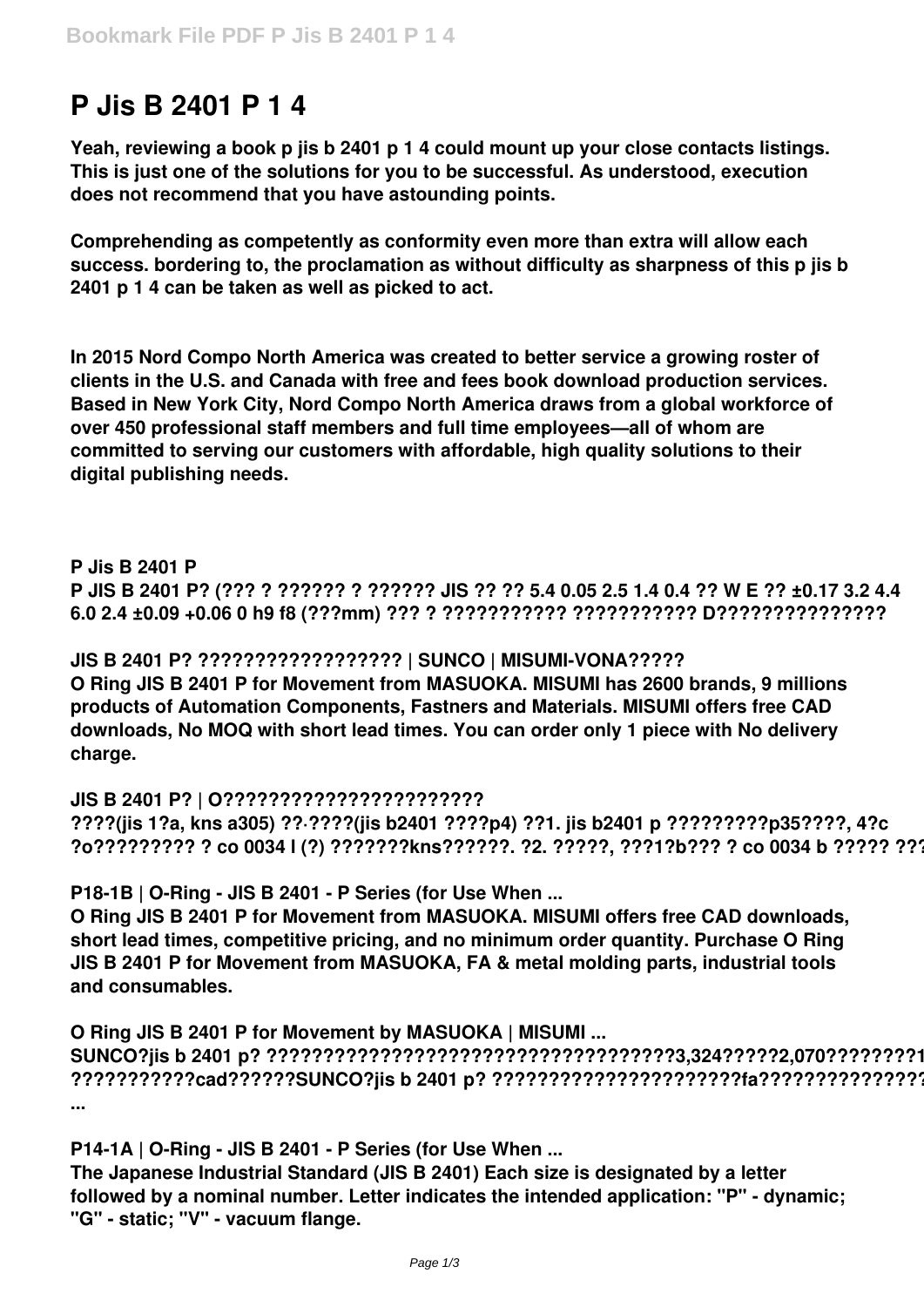# **P Jis B 2401 P 1 4**

**Yeah, reviewing a book p jis b 2401 p 1 4 could mount up your close contacts listings. This is just one of the solutions for you to be successful. As understood, execution does not recommend that you have astounding points.**

**Comprehending as competently as conformity even more than extra will allow each success. bordering to, the proclamation as without difficulty as sharpness of this p jis b 2401 p 1 4 can be taken as well as picked to act.**

**In 2015 Nord Compo North America was created to better service a growing roster of clients in the U.S. and Canada with free and fees book download production services. Based in New York City, Nord Compo North America draws from a global workforce of over 450 professional staff members and full time employees—all of whom are committed to serving our customers with affordable, high quality solutions to their digital publishing needs.**

#### **P Jis B 2401 P**

**P JIS B 2401 P? (??? ? ?????? ? ?????? JIS ?? ?? 5.4 0.05 2.5 1.4 0.4 ?? W E ?? ±0.17 3.2 4.4 6.0 2.4 ±0.09 +0.06 0 h9 f8 (???mm) ??? ? ??????????? ??????????? D???????????????**

**JIS B 2401 P? ?????????????????? | SUNCO | MISUMI-VONA????? O Ring JIS B 2401 P for Movement from MASUOKA. MISUMI has 2600 brands, 9 millions products of Automation Components, Fastners and Materials. MISUMI offers free CAD downloads, No MOQ with short lead times. You can order only 1 piece with No delivery charge.**

# **JIS B 2401 P? | O???????????????????????**

**????(jis 1?a, kns a305) ??·????(jis b2401 ????p4) ??1. jis b2401 p ?????????p35????, 4?c ?o????????? ? co 0034 l (?) ???????kns??????. ?2. ?????, ???1?b??? ? co 0034 b ????? ?????**

**P18-1B | O-Ring - JIS B 2401 - P Series (for Use When ...**

**O Ring JIS B 2401 P for Movement from MASUOKA. MISUMI offers free CAD downloads, short lead times, competitive pricing, and no minimum order quantity. Purchase O Ring JIS B 2401 P for Movement from MASUOKA, FA & metal molding parts, industrial tools and consumables.**

**O Ring JIS B 2401 P for Movement by MASUOKA | MISUMI ... SUNCO?jis b 2401 p? ????????????????????????????????????3,324?????2,070????????1??? ???????????cad??????SUNCO?jis b 2401 p? ??????????????????????fa??????????????????? ...**

**P14-1A | O-Ring - JIS B 2401 - P Series (for Use When ...**

**The Japanese Industrial Standard (JIS B 2401) Each size is designated by a letter followed by a nominal number. Letter indicates the intended application: "P" - dynamic; "G" - static; "V" - vacuum flange.**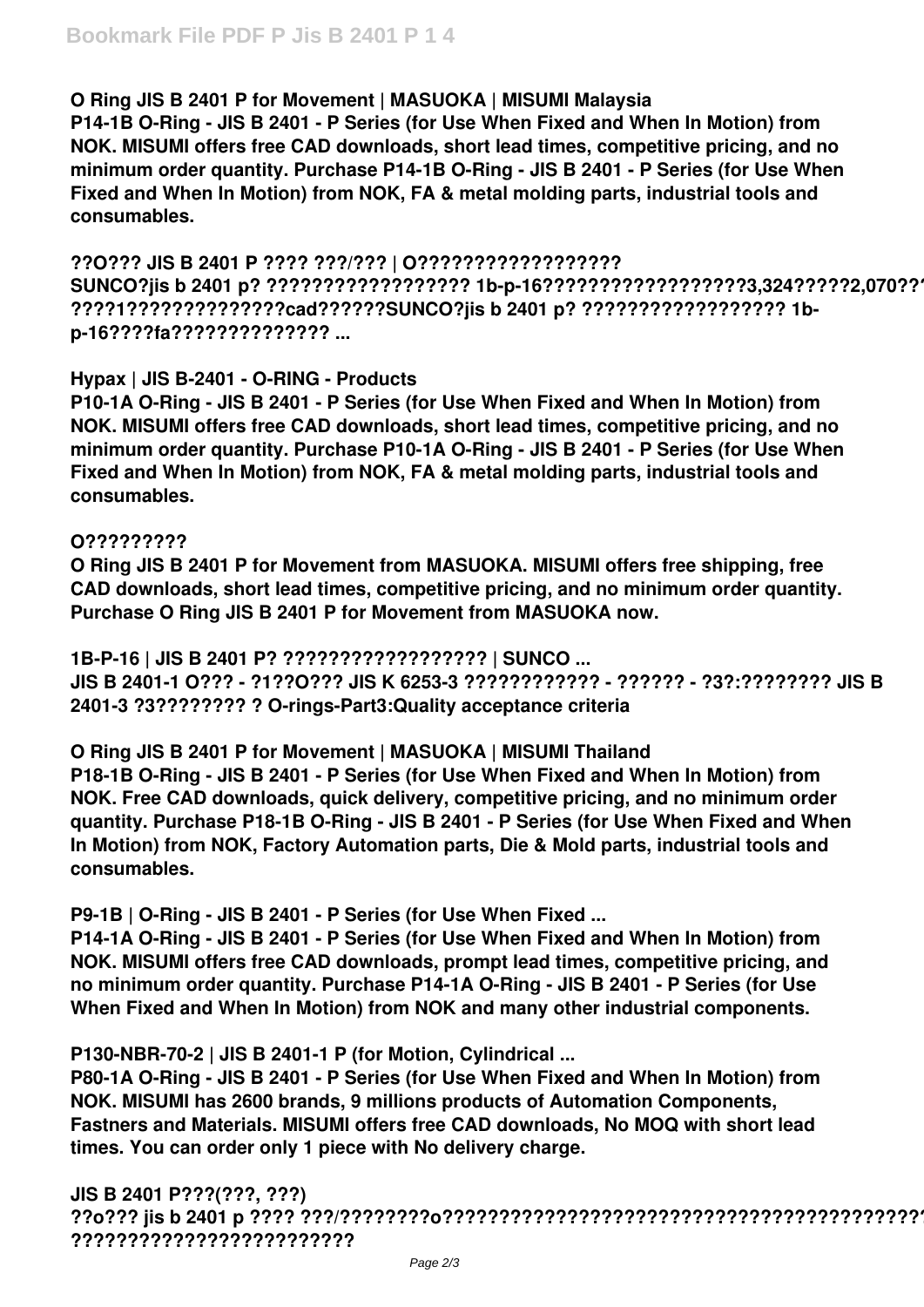### **O Ring JIS B 2401 P for Movement | MASUOKA | MISUMI Malaysia**

**P14-1B O-Ring - JIS B 2401 - P Series (for Use When Fixed and When In Motion) from NOK. MISUMI offers free CAD downloads, short lead times, competitive pricing, and no minimum order quantity. Purchase P14-1B O-Ring - JIS B 2401 - P Series (for Use When Fixed and When In Motion) from NOK, FA & metal molding parts, industrial tools and consumables.**

**??O??? JIS B 2401 P ???? ???/??? | O?????????????????? SUNCO?jis b 2401 p? ?????????????????? 1b-p-16??????????????????3,324?????2,070???? ????1??????????????cad??????SUNCO?jis b 2401 p? ?????????????????? 1bp-16????fa?????????????? ...**

### **Hypax | JIS B-2401 - O-RING - Products**

**P10-1A O-Ring - JIS B 2401 - P Series (for Use When Fixed and When In Motion) from NOK. MISUMI offers free CAD downloads, short lead times, competitive pricing, and no minimum order quantity. Purchase P10-1A O-Ring - JIS B 2401 - P Series (for Use When Fixed and When In Motion) from NOK, FA & metal molding parts, industrial tools and consumables.**

#### **O?????????**

**O Ring JIS B 2401 P for Movement from MASUOKA. MISUMI offers free shipping, free CAD downloads, short lead times, competitive pricing, and no minimum order quantity. Purchase O Ring JIS B 2401 P for Movement from MASUOKA now.**

**1B-P-16 | JIS B 2401 P? ?????????????????? | SUNCO ... JIS B 2401-1 O??? - ?1??O??? JIS K 6253-3 ???????????? - ?????? - ?3?:???????? JIS B 2401-3 ?3???????? ? O-rings-Part3:Quality acceptance criteria**

**O Ring JIS B 2401 P for Movement | MASUOKA | MISUMI Thailand P18-1B O-Ring - JIS B 2401 - P Series (for Use When Fixed and When In Motion) from NOK. Free CAD downloads, quick delivery, competitive pricing, and no minimum order quantity. Purchase P18-1B O-Ring - JIS B 2401 - P Series (for Use When Fixed and When In Motion) from NOK, Factory Automation parts, Die & Mold parts, industrial tools and consumables.**

# **P9-1B | O-Ring - JIS B 2401 - P Series (for Use When Fixed ...**

**P14-1A O-Ring - JIS B 2401 - P Series (for Use When Fixed and When In Motion) from NOK. MISUMI offers free CAD downloads, prompt lead times, competitive pricing, and no minimum order quantity. Purchase P14-1A O-Ring - JIS B 2401 - P Series (for Use When Fixed and When In Motion) from NOK and many other industrial components.**

**P130-NBR-70-2 | JIS B 2401-1 P (for Motion, Cylindrical ...**

**P80-1A O-Ring - JIS B 2401 - P Series (for Use When Fixed and When In Motion) from NOK. MISUMI has 2600 brands, 9 millions products of Automation Components, Fastners and Materials. MISUMI offers free CAD downloads, No MOQ with short lead times. You can order only 1 piece with No delivery charge.**

# **JIS B 2401 P???(???, ???)**

**??o??? jis b 2401 p ???? ???/????????o???????????????????????????????????????????????? ?????????????????????????**